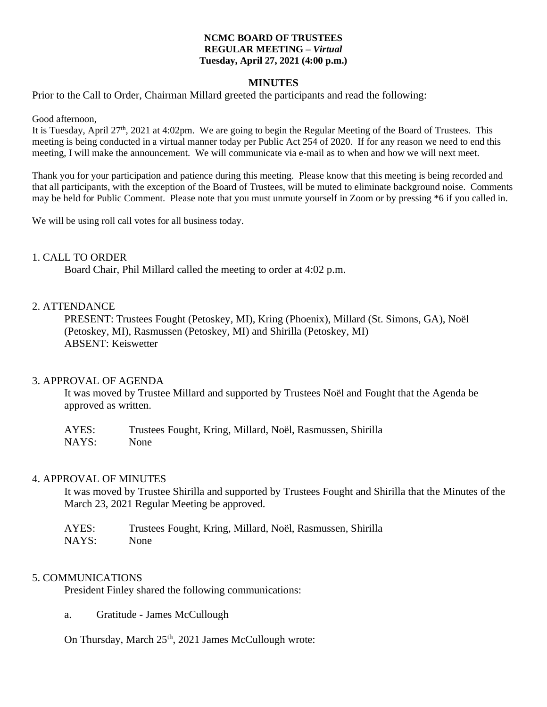#### **NCMC BOARD OF TRUSTEES REGULAR MEETING –** *Virtual* **Tuesday, April 27, 2021 (4:00 p.m.)**

#### **MINUTES**

Prior to the Call to Order, Chairman Millard greeted the participants and read the following:

Good afternoon,

It is Tuesday, April 27th, 2021 at 4:02pm. We are going to begin the Regular Meeting of the Board of Trustees. This meeting is being conducted in a virtual manner today per Public Act 254 of 2020. If for any reason we need to end this meeting, I will make the announcement. We will communicate via e-mail as to when and how we will next meet.

Thank you for your participation and patience during this meeting. Please know that this meeting is being recorded and that all participants, with the exception of the Board of Trustees, will be muted to eliminate background noise. Comments may be held for Public Comment. Please note that you must unmute yourself in Zoom or by pressing \*6 if you called in.

We will be using roll call votes for all business today.

#### 1. CALL TO ORDER

Board Chair, Phil Millard called the meeting to order at 4:02 p.m.

#### 2. ATTENDANCE

PRESENT: Trustees Fought (Petoskey, MI), Kring (Phoenix), Millard (St. Simons, GA), Noël (Petoskey, MI), Rasmussen (Petoskey, MI) and Shirilla (Petoskey, MI) ABSENT: Keiswetter

#### 3. APPROVAL OF AGENDA

It was moved by Trustee Millard and supported by Trustees Noël and Fought that the Agenda be approved as written.

| AYES: | Trustees Fought, Kring, Millard, Noël, Rasmussen, Shirilla |
|-------|------------------------------------------------------------|
| NAYS: | None                                                       |

#### 4. APPROVAL OF MINUTES

It was moved by Trustee Shirilla and supported by Trustees Fought and Shirilla that the Minutes of the March 23, 2021 Regular Meeting be approved.

| AYES: | Trustees Fought, Kring, Millard, Noël, Rasmussen, Shirilla |
|-------|------------------------------------------------------------|
| NAYS: | None                                                       |

#### 5. COMMUNICATIONS

President Finley shared the following communications:

a. Gratitude - James McCullough

On Thursday, March  $25<sup>th</sup>$ , 2021 James McCullough wrote: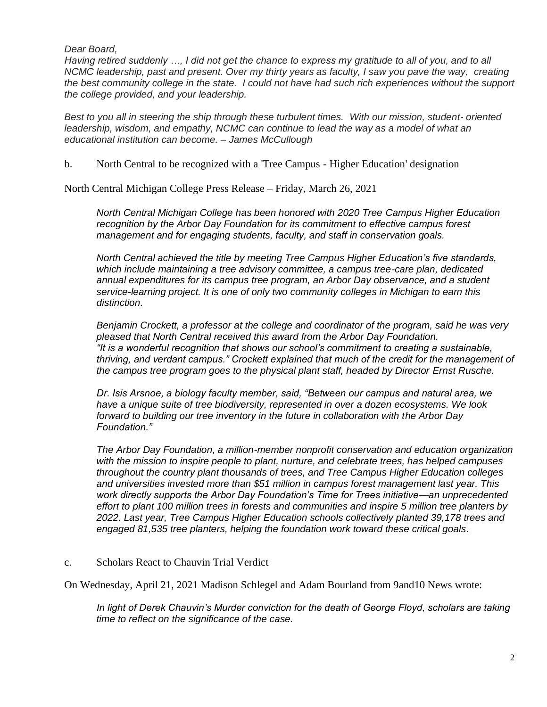### *Dear Board,*

*Having retired suddenly …, I did not get the chance to express my gratitude to all of you, and to all NCMC leadership, past and present. Over my thirty years as faculty, I saw you pave the way, creating the best community college in the state. I could not have had such rich experiences without the support the college provided, and your leadership.*

*Best to you all in steering the ship through these turbulent times. With our mission, student- oriented leadership, wisdom, and empathy, NCMC can continue to lead the way as a model of what an educational institution can become. – James McCullough*

b. North Central to be recognized with a 'Tree Campus - Higher Education' designation

North Central Michigan College Press Release – Friday, March 26, 2021

*North Central Michigan College has been honored with 2020 Tree Campus Higher Education recognition by the Arbor Day Foundation for its commitment to effective campus forest management and for engaging students, faculty, and staff in conservation goals.*

*North Central achieved the title by meeting Tree Campus Higher Education's five standards, which include maintaining a tree advisory committee, a campus tree-care plan, dedicated annual expenditures for its campus tree program, an Arbor Day observance, and a student service-learning project. It is one of only two community colleges in Michigan to earn this distinction.* 

*Benjamin Crockett, a professor at the college and coordinator of the program, said he was very pleased that North Central received this award from the Arbor Day Foundation. "It is a wonderful recognition that shows our school's commitment to creating a sustainable, thriving, and verdant campus." Crockett explained that much of the credit for the management of the campus tree program goes to the physical plant staff, headed by Director Ernst Rusche.*

*Dr. Isis Arsnoe, a biology faculty member, said, "Between our campus and natural area, we have a unique suite of tree biodiversity, represented in over a dozen ecosystems. We look forward to building our tree inventory in the future in collaboration with the Arbor Day Foundation."*

*The Arbor Day Foundation, a million-member nonprofit conservation and education organization with the mission to inspire people to plant, nurture, and celebrate trees, has helped campuses throughout the country plant thousands of trees, and Tree Campus Higher Education colleges and universities invested more than \$51 million in campus forest management last year. This work directly supports the Arbor Day Foundation's Time for Trees initiative—an unprecedented effort to plant 100 million trees in forests and communities and inspire 5 million tree planters by*  2022. Last year, Tree Campus Higher Education schools collectively planted 39,178 trees and *engaged 81,535 tree planters, helping the foundation work toward these critical goals.*

### c. Scholars React to Chauvin Trial Verdict

On Wednesday, April 21, 2021 Madison Schlegel and Adam Bourland from 9and10 News wrote:

*In light of Derek Chauvin's Murder conviction for the death of George Floyd, scholars are taking time to reflect on the significance of the case.*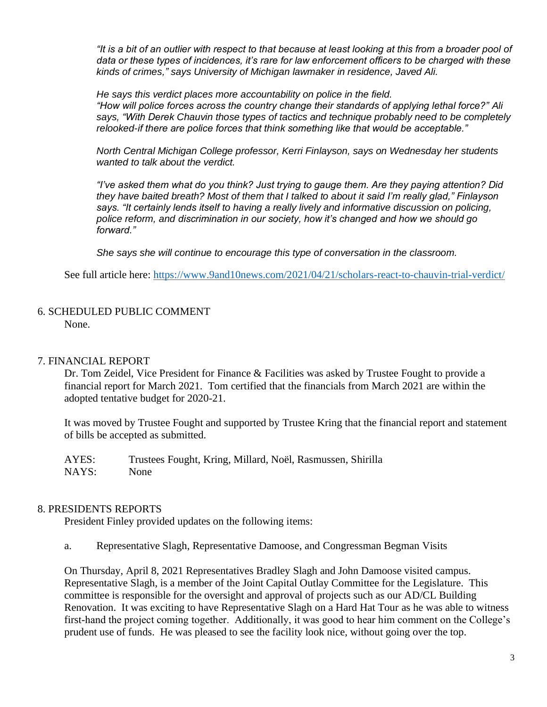*"It is a bit of an outlier with respect to that because at least looking at this from a broader pool of data or these types of incidences, it's rare for law enforcement officers to be charged with these kinds of crimes," says University of Michigan lawmaker in residence, Javed Ali.*

*He says this verdict places more accountability on police in the field. "How will police forces across the country change their standards of applying lethal force?" Ali says, "With Derek Chauvin those types of tactics and technique probably need to be completely relooked-if there are police forces that think something like that would be acceptable."*

*North Central Michigan College professor, Kerri Finlayson, says on Wednesday her students wanted to talk about the verdict.*

*"I've asked them what do you think? Just trying to gauge them. Are they paying attention? Did they have baited breath? Most of them that I talked to about it said I'm really glad," Finlayson says. "It certainly lends itself to having a really lively and informative discussion on policing, police reform, and discrimination in our society, how it's changed and how we should go forward."*

*She says she will continue to encourage this type of conversation in the classroom.*

See full article here:<https://www.9and10news.com/2021/04/21/scholars-react-to-chauvin-trial-verdict/>

## 6. SCHEDULED PUBLIC COMMENT None.

### 7. FINANCIAL REPORT

Dr. Tom Zeidel, Vice President for Finance & Facilities was asked by Trustee Fought to provide a financial report for March 2021. Tom certified that the financials from March 2021 are within the adopted tentative budget for 2020-21.

It was moved by Trustee Fought and supported by Trustee Kring that the financial report and statement of bills be accepted as submitted.

AYES: Trustees Fought, Kring, Millard, Noël, Rasmussen, Shirilla NAYS: None

### 8. PRESIDENTS REPORTS

President Finley provided updates on the following items:

a. Representative Slagh, Representative Damoose, and Congressman Begman Visits

On Thursday, April 8, 2021 Representatives Bradley Slagh and John Damoose visited campus. Representative Slagh, is a member of the Joint Capital Outlay Committee for the Legislature. This committee is responsible for the oversight and approval of projects such as our AD/CL Building Renovation. It was exciting to have Representative Slagh on a Hard Hat Tour as he was able to witness first-hand the project coming together. Additionally, it was good to hear him comment on the College's prudent use of funds. He was pleased to see the facility look nice, without going over the top.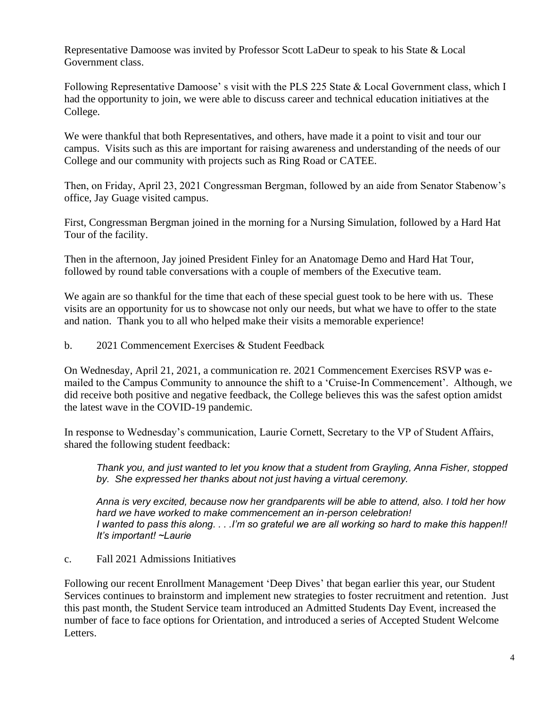Representative Damoose was invited by Professor Scott LaDeur to speak to his State & Local Government class.

Following Representative Damoose' s visit with the PLS 225 State & Local Government class, which I had the opportunity to join, we were able to discuss career and technical education initiatives at the College.

We were thankful that both Representatives, and others, have made it a point to visit and tour our campus. Visits such as this are important for raising awareness and understanding of the needs of our College and our community with projects such as Ring Road or CATEE.

Then, on Friday, April 23, 2021 Congressman Bergman, followed by an aide from Senator Stabenow's office, Jay Guage visited campus.

First, Congressman Bergman joined in the morning for a Nursing Simulation, followed by a Hard Hat Tour of the facility.

Then in the afternoon, Jay joined President Finley for an Anatomage Demo and Hard Hat Tour, followed by round table conversations with a couple of members of the Executive team.

We again are so thankful for the time that each of these special guest took to be here with us. These visits are an opportunity for us to showcase not only our needs, but what we have to offer to the state and nation. Thank you to all who helped make their visits a memorable experience!

b. 2021 Commencement Exercises & Student Feedback

On Wednesday, April 21, 2021, a communication re. 2021 Commencement Exercises RSVP was emailed to the Campus Community to announce the shift to a 'Cruise-In Commencement'. Although, we did receive both positive and negative feedback, the College believes this was the safest option amidst the latest wave in the COVID-19 pandemic.

In response to Wednesday's communication, Laurie Cornett, Secretary to the VP of Student Affairs, shared the following student feedback:

*Thank you, and just wanted to let you know that a student from Grayling, Anna Fisher, stopped by. She expressed her thanks about not just having a virtual ceremony.*

*Anna is very excited, because now her grandparents will be able to attend, also. I told her how hard we have worked to make commencement an in-person celebration! I wanted to pass this along. . . .I'm so grateful we are all working so hard to make this happen!! It's important! ~Laurie*

c. Fall 2021 Admissions Initiatives

Following our recent Enrollment Management 'Deep Dives' that began earlier this year, our Student Services continues to brainstorm and implement new strategies to foster recruitment and retention. Just this past month, the Student Service team introduced an Admitted Students Day Event, increased the number of face to face options for Orientation, and introduced a series of Accepted Student Welcome Letters.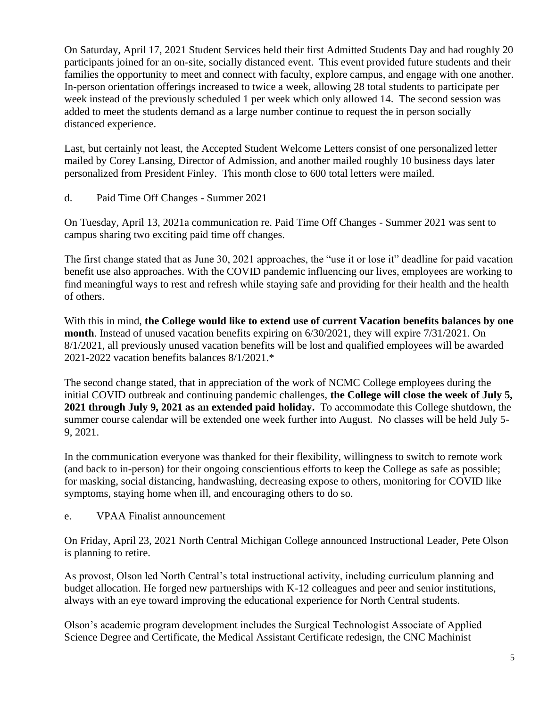On Saturday, April 17, 2021 Student Services held their first Admitted Students Day and had roughly 20 participants joined for an on-site, socially distanced event. This event provided future students and their families the opportunity to meet and connect with faculty, explore campus, and engage with one another. In-person orientation offerings increased to twice a week, allowing 28 total students to participate per week instead of the previously scheduled 1 per week which only allowed 14. The second session was added to meet the students demand as a large number continue to request the in person socially distanced experience.

Last, but certainly not least, the Accepted Student Welcome Letters consist of one personalized letter mailed by Corey Lansing, Director of Admission, and another mailed roughly 10 business days later personalized from President Finley. This month close to 600 total letters were mailed.

d. Paid Time Off Changes - Summer 2021

On Tuesday, April 13, 2021a communication re. Paid Time Off Changes - Summer 2021 was sent to campus sharing two exciting paid time off changes.

The first change stated that as June 30, 2021 approaches, the "use it or lose it" deadline for paid vacation benefit use also approaches. With the COVID pandemic influencing our lives, employees are working to find meaningful ways to rest and refresh while staying safe and providing for their health and the health of others.

With this in mind, **the College would like to extend use of current Vacation benefits balances by one month**. Instead of unused vacation benefits expiring on 6/30/2021, they will expire 7/31/2021. On 8/1/2021, all previously unused vacation benefits will be lost and qualified employees will be awarded 2021-2022 vacation benefits balances 8/1/2021.\*

The second change stated, that in appreciation of the work of NCMC College employees during the initial COVID outbreak and continuing pandemic challenges, **the College will close the week of July 5, 2021 through July 9, 2021 as an extended paid holiday.** To accommodate this College shutdown, the summer course calendar will be extended one week further into August. No classes will be held July 5- 9, 2021.

In the communication everyone was thanked for their flexibility, willingness to switch to remote work (and back to in-person) for their ongoing conscientious efforts to keep the College as safe as possible; for masking, social distancing, handwashing, decreasing expose to others, monitoring for COVID like symptoms, staying home when ill, and encouraging others to do so.

e. VPAA Finalist announcement

On Friday, April 23, 2021 North Central Michigan College announced Instructional Leader, Pete Olson is planning to retire.

As provost, Olson led North Central's total instructional activity, including curriculum planning and budget allocation. He forged new partnerships with K-12 colleagues and peer and senior institutions, always with an eye toward improving the educational experience for North Central students.

Olson's academic program development includes the Surgical Technologist Associate of Applied Science Degree and Certificate, the Medical Assistant Certificate redesign, the CNC Machinist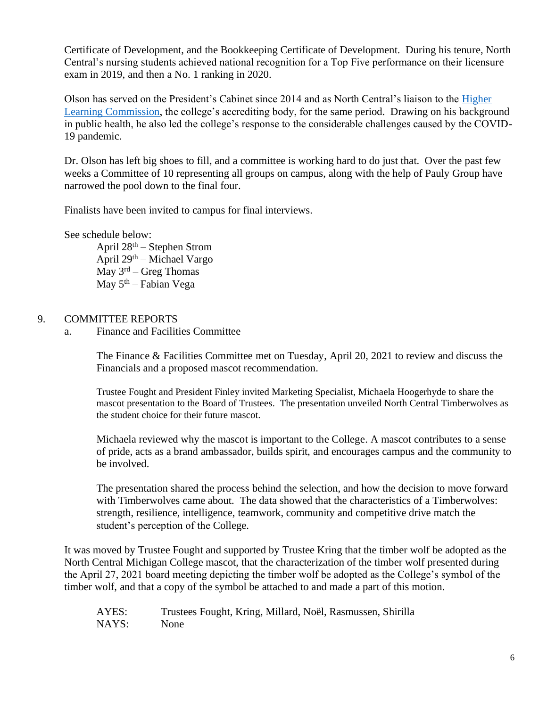Certificate of Development, and the Bookkeeping Certificate of Development. During his tenure, North Central's nursing students achieved national recognition for a Top Five performance on their licensure exam in 2019, and then a No. 1 ranking in 2020.

Olson has served on the President's Cabinet since 2014 and as North Central's liaison to the [Higher](https://www.hlcommission.org/)  [Learning Commission,](https://www.hlcommission.org/) the college's accrediting body, for the same period. Drawing on his background in public health, he also led the college's response to the considerable challenges caused by the COVID-19 pandemic.

Dr. Olson has left big shoes to fill, and a committee is working hard to do just that. Over the past few weeks a Committee of 10 representing all groups on campus, along with the help of Pauly Group have narrowed the pool down to the final four.

Finalists have been invited to campus for final interviews.

See schedule below:

April  $28<sup>th</sup>$  – Stephen Strom April  $29<sup>th</sup>$  – Michael Vargo  $\overline{May}$  3<sup>rd</sup> – Greg Thomas May  $5<sup>th</sup>$  – Fabian Vega

# 9. COMMITTEE REPORTS

a. Finance and Facilities Committee

The Finance & Facilities Committee met on Tuesday, April 20, 2021 to review and discuss the Financials and a proposed mascot recommendation.

Trustee Fought and President Finley invited Marketing Specialist, Michaela Hoogerhyde to share the mascot presentation to the Board of Trustees. The presentation unveiled North Central Timberwolves as the student choice for their future mascot.

Michaela reviewed why the mascot is important to the College. A mascot contributes to a sense of pride, acts as a brand ambassador, builds spirit, and encourages campus and the community to be involved.

The presentation shared the process behind the selection, and how the decision to move forward with Timberwolves came about. The data showed that the characteristics of a Timberwolves: strength, resilience, intelligence, teamwork, community and competitive drive match the student's perception of the College.

It was moved by Trustee Fought and supported by Trustee Kring that the timber wolf be adopted as the North Central Michigan College mascot, that the characterization of the timber wolf presented during the April 27, 2021 board meeting depicting the timber wolf be adopted as the College's symbol of the timber wolf, and that a copy of the symbol be attached to and made a part of this motion.

| AYES: | Trustees Fought, Kring, Millard, Noël, Rasmussen, Shirilla |
|-------|------------------------------------------------------------|
| NAYS: | None                                                       |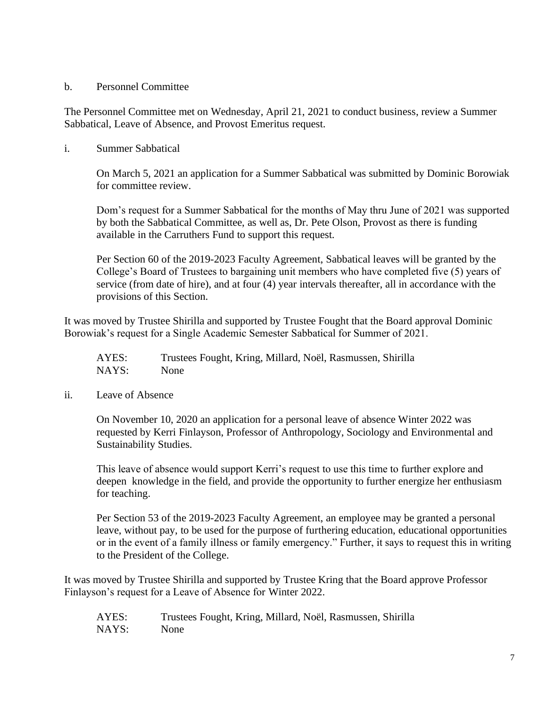### b. Personnel Committee

The Personnel Committee met on Wednesday, April 21, 2021 to conduct business, review a Summer Sabbatical, Leave of Absence, and Provost Emeritus request.

## i. Summer Sabbatical

On March 5, 2021 an application for a Summer Sabbatical was submitted by Dominic Borowiak for committee review.

Dom's request for a Summer Sabbatical for the months of May thru June of 2021 was supported by both the Sabbatical Committee, as well as, Dr. Pete Olson, Provost as there is funding available in the Carruthers Fund to support this request.

Per Section 60 of the 2019-2023 Faculty Agreement, Sabbatical leaves will be granted by the College's Board of Trustees to bargaining unit members who have completed five (5) years of service (from date of hire), and at four (4) year intervals thereafter, all in accordance with the provisions of this Section.

It was moved by Trustee Shirilla and supported by Trustee Fought that the Board approval Dominic Borowiak's request for a Single Academic Semester Sabbatical for Summer of 2021.

AYES: Trustees Fought, Kring, Millard, Noël, Rasmussen, Shirilla NAYS: None

### ii. Leave of Absence

On November 10, 2020 an application for a personal leave of absence Winter 2022 was requested by Kerri Finlayson, Professor of Anthropology, Sociology and Environmental and Sustainability Studies.

This leave of absence would support Kerri's request to use this time to further explore and deepen knowledge in the field, and provide the opportunity to further energize her enthusiasm for teaching.

Per Section 53 of the 2019-2023 Faculty Agreement, an employee may be granted a personal leave, without pay, to be used for the purpose of furthering education, educational opportunities or in the event of a family illness or family emergency." Further, it says to request this in writing to the President of the College.

It was moved by Trustee Shirilla and supported by Trustee Kring that the Board approve Professor Finlayson's request for a Leave of Absence for Winter 2022.

AYES: Trustees Fought, Kring, Millard, Noël, Rasmussen, Shirilla NAYS: None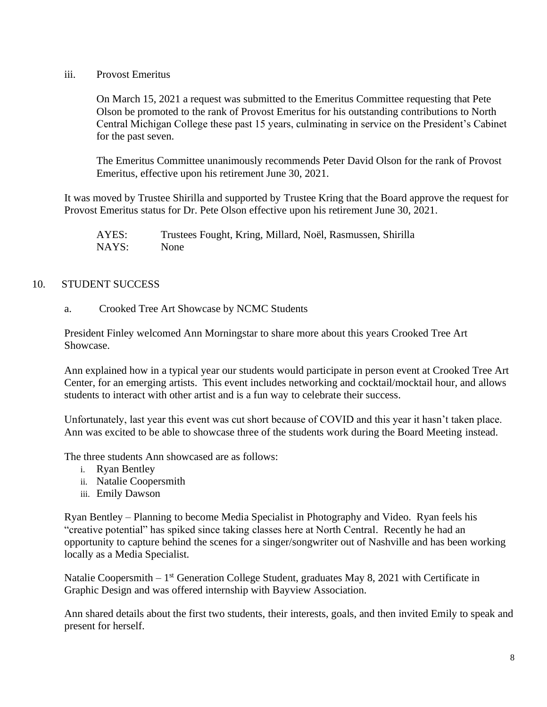iii. Provost Emeritus

On March 15, 2021 a request was submitted to the Emeritus Committee requesting that Pete Olson be promoted to the rank of Provost Emeritus for his outstanding contributions to North Central Michigan College these past 15 years, culminating in service on the President's Cabinet for the past seven.

The Emeritus Committee unanimously recommends Peter David Olson for the rank of Provost Emeritus, effective upon his retirement June 30, 2021.

It was moved by Trustee Shirilla and supported by Trustee Kring that the Board approve the request for Provost Emeritus status for Dr. Pete Olson effective upon his retirement June 30, 2021.

AYES: Trustees Fought, Kring, Millard, Noël, Rasmussen, Shirilla NAYS: None

# 10. STUDENT SUCCESS

a. Crooked Tree Art Showcase by NCMC Students

President Finley welcomed Ann Morningstar to share more about this years Crooked Tree Art Showcase.

Ann explained how in a typical year our students would participate in person event at Crooked Tree Art Center, for an emerging artists. This event includes networking and cocktail/mocktail hour, and allows students to interact with other artist and is a fun way to celebrate their success.

Unfortunately, last year this event was cut short because of COVID and this year it hasn't taken place. Ann was excited to be able to showcase three of the students work during the Board Meeting instead.

The three students Ann showcased are as follows:

- i. Ryan Bentley
- ii. Natalie Coopersmith
- iii. Emily Dawson

Ryan Bentley – Planning to become Media Specialist in Photography and Video. Ryan feels his "creative potential" has spiked since taking classes here at North Central. Recently he had an opportunity to capture behind the scenes for a singer/songwriter out of Nashville and has been working locally as a Media Specialist.

Natalie Coopersmith – 1<sup>st</sup> Generation College Student, graduates May 8, 2021 with Certificate in Graphic Design and was offered internship with Bayview Association.

Ann shared details about the first two students, their interests, goals, and then invited Emily to speak and present for herself.